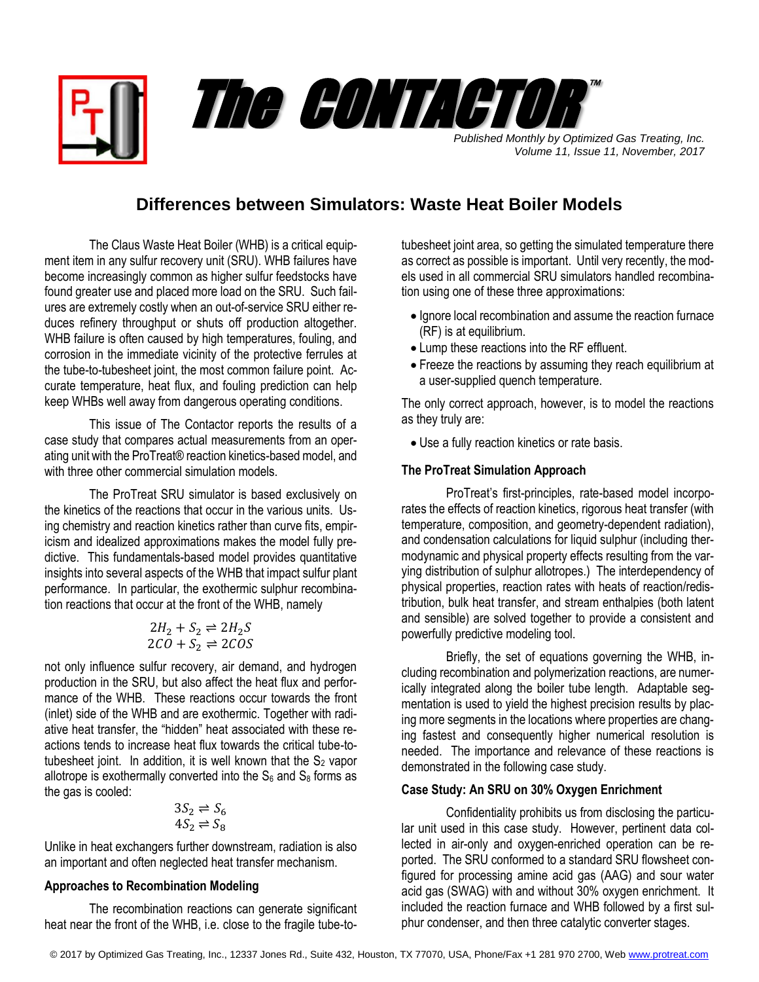

# The CONTACTOR ™

*Published Monthly by Optimized Gas Treating, Inc. Volume 11, Issue 11, November, 2017*

## **Differences between Simulators: Waste Heat Boiler Models**

The Claus Waste Heat Boiler (WHB) is a critical equipment item in any sulfur recovery unit (SRU). WHB failures have become increasingly common as higher sulfur feedstocks have found greater use and placed more load on the SRU. Such failures are extremely costly when an out-of-service SRU either reduces refinery throughput or shuts off production altogether. WHB failure is often caused by high temperatures, fouling, and corrosion in the immediate vicinity of the protective ferrules at the tube-to-tubesheet joint, the most common failure point. Accurate temperature, heat flux, and fouling prediction can help keep WHBs well away from dangerous operating conditions.

This issue of The Contactor reports the results of a case study that compares actual measurements from an operating unit with the ProTreat® reaction kinetics-based model, and with three other commercial simulation models.

The ProTreat SRU simulator is based exclusively on the kinetics of the reactions that occur in the various units. Using chemistry and reaction kinetics rather than curve fits, empiricism and idealized approximations makes the model fully predictive. This fundamentals-based model provides quantitative insights into several aspects of the WHB that impact sulfur plant performance. In particular, the exothermic sulphur recombination reactions that occur at the front of the WHB, namely

$$
2H_2 + S_2 \rightleftharpoons 2H_2S
$$
  

$$
2CO + S_2 \rightleftharpoons 2COS
$$

not only influence sulfur recovery, air demand, and hydrogen production in the SRU, but also affect the heat flux and performance of the WHB. These reactions occur towards the front (inlet) side of the WHB and are exothermic. Together with radiative heat transfer, the "hidden" heat associated with these reactions tends to increase heat flux towards the critical tube-totubesheet joint. In addition, it is well known that the  $S_2$  vapor allotrope is exothermally converted into the  $S_6$  and  $S_8$  forms as the gas is cooled:

$$
3S_2 \rightleftharpoons S_6
$$
  

$$
4S_2 \rightleftharpoons S_8
$$

Unlike in heat exchangers further downstream, radiation is also an important and often neglected heat transfer mechanism.

### **Approaches to Recombination Modeling**

The recombination reactions can generate significant heat near the front of the WHB, i.e. close to the fragile tube-totubesheet joint area, so getting the simulated temperature there as correct as possible is important. Until very recently, the models used in all commercial SRU simulators handled recombination using one of these three approximations:

- Ignore local recombination and assume the reaction furnace (RF) is at equilibrium.
- Lump these reactions into the RF effluent.
- Freeze the reactions by assuming they reach equilibrium at a user-supplied quench temperature.

The only correct approach, however, is to model the reactions as they truly are:

Use a fully reaction kinetics or rate basis.

#### **The ProTreat Simulation Approach**

ProTreat's first-principles, rate-based model incorporates the effects of reaction kinetics, rigorous heat transfer (with temperature, composition, and geometry-dependent radiation), and condensation calculations for liquid sulphur (including thermodynamic and physical property effects resulting from the varying distribution of sulphur allotropes.) The interdependency of physical properties, reaction rates with heats of reaction/redistribution, bulk heat transfer, and stream enthalpies (both latent and sensible) are solved together to provide a consistent and powerfully predictive modeling tool.

Briefly, the set of equations governing the WHB, including recombination and polymerization reactions, are numerically integrated along the boiler tube length. Adaptable segmentation is used to yield the highest precision results by placing more segments in the locations where properties are changing fastest and consequently higher numerical resolution is needed. The importance and relevance of these reactions is demonstrated in the following case study.

#### **Case Study: An SRU on 30% Oxygen Enrichment**

Confidentiality prohibits us from disclosing the particular unit used in this case study. However, pertinent data collected in air-only and oxygen-enriched operation can be reported. The SRU conformed to a standard SRU flowsheet configured for processing amine acid gas (AAG) and sour water acid gas (SWAG) with and without 30% oxygen enrichment. It included the reaction furnace and WHB followed by a first sulphur condenser, and then three catalytic converter stages.